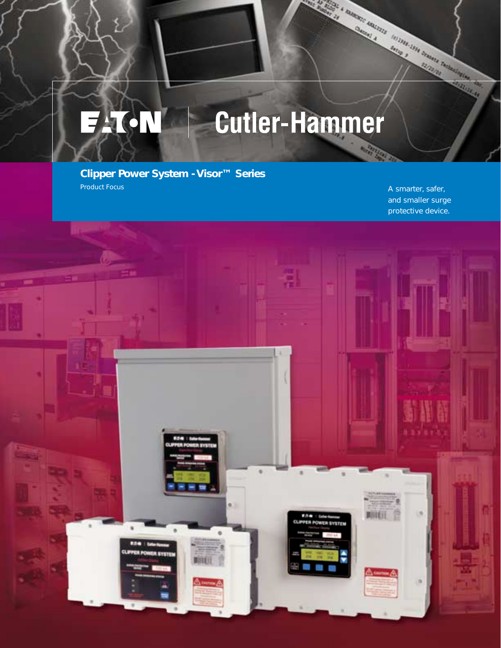# EATON | Cutler-Hammer

**Clipper Power System - Visor™ Series** Product Focus A smarter, safer, and the control of the control of the control of the control of the control of the control of the control of the control of the control of the control of the control of the control of the co

and smaller surge protective device.

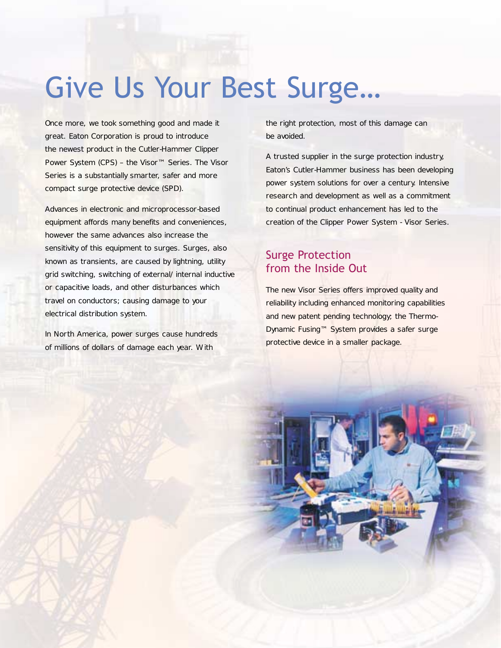# Give Us Your Best Surge…

Once more, we took something good and made it great. Eaton Corporation is proud to introduce the newest product in the Cutler-Hammer Clipper Power System (CPS) – the Visor™ Series. The Visor Series is a substantially smarter, safer and more compact surge protective device (SPD).

Advances in electronic and microprocessor-based equipment affords many benefits and conveniences, however the same advances also increase the sensitivity of this equipment to surges. Surges, also known as transients, are caused by lightning, utility grid switching, switching of external/internal inductive or capacitive loads, and other disturbances which travel on conductors; causing damage to your electrical distribution system.

In North America, power surges cause hundreds of millions of dollars of damage each year. With

the right protection, most of this damage can be avoided.

A trusted supplier in the surge protection industry, Eaton's Cutler-Hammer business has been developing power system solutions for over a century. Intensive research and development as well as a commitment to continual product enhancement has led to the creation of the Clipper Power System - Visor Series.

# Surge Protection from the Inside Out

The new Visor Series offers improved quality and reliability including enhanced monitoring capabilities and new patent pending technology; the Thermo-Dynamic Fusing™ System provides a safer surge protective device in a smaller package.

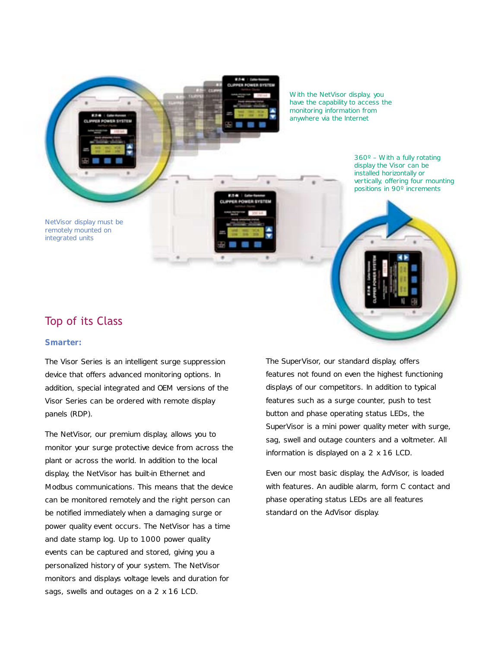

*360º – With a fully rotating display the Visor can be installed horizontally or vertically, offering four mounting positions in 90º increments*

## Top of its Class

#### **Smarter:**

The Visor Series is an intelligent surge suppression device that offers advanced monitoring options. In addition, special integrated and OEM versions of the Visor Series can be ordered with remote display panels (RDP).

The NetVisor, our premium display, allows you to monitor your surge protective device from across the plant or across the world. In addition to the local display, the NetVisor has built-in Ethernet and Modbus communications. This means that the device can be monitored remotely and the right person can be notified immediately when a damaging surge or power quality event occurs. The NetVisor has a time and date stamp log. Up to 1000 power quality events can be captured and stored, giving you a personalized history of your system. The NetVisor monitors and displays voltage levels and duration for sags, swells and outages on a 2 x 16 LCD.

The SuperVisor, our standard display, offers features not found on even the highest functioning displays of our competitors. In addition to typical features such as a surge counter, push to test button and phase operating status LEDs, the SuperVisor is a mini power quality meter with surge, sag, swell and outage counters and a voltmeter. All information is displayed on a 2 x 16 LCD.

Even our most basic display, the AdVisor, is loaded with features. An audible alarm, form C contact and phase operating status LEDs are all features standard on the AdVisor display.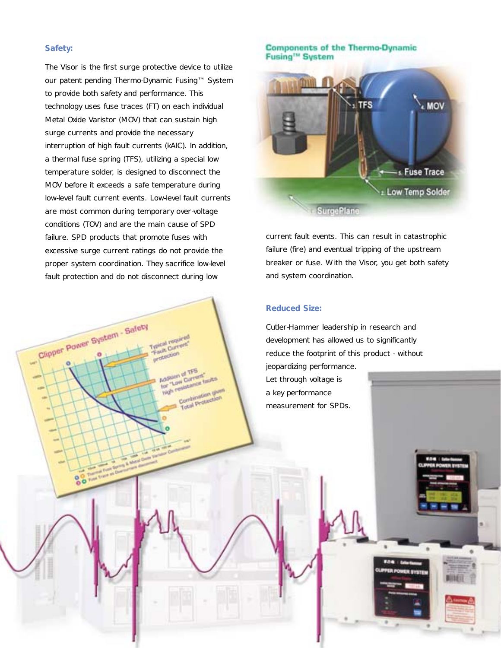#### **Safety:**

The Visor is the first surge protective device to utilize our patent pending Thermo-Dynamic Fusing™ System to provide both safety and performance. This technology uses fuse traces (FT) on each individual Metal Oxide Varistor (MOV) that can sustain high surge currents and provide the necessary interruption of high fault currents (kAIC). In addition, a thermal fuse spring (TFS), utilizing a special low temperature solder, is designed to disconnect the MOV before it exceeds a safe temperature during low-level fault current events. Low-level fault currents are most common during temporary over-voltage conditions (TOV) and are the main cause of SPD failure. SPD products that promote fuses with excessive surge current ratings do not provide the proper system coordination. They sacrifice low-level fault protection and do not disconnect during low

 $atx$ 

I TFS Curren sisteman Combination (M) **Combination** 

Clipper Power System - Safety

 $\overline{c}$ 

#### **Components of the Thermo-Dynamic** Fusing<sup>7M</sup> System



current fault events. This can result in catastrophic failure (fire) and eventual tripping of the upstream breaker or fuse. With the Visor, you get both safety and system coordination.

#### **Reduced Size:**

Cutler-Hammer leadership in research and development has allowed us to significantly reduce the footprint of this product - without

jeopardizing performance. Let through voltage is a key performance measurement for SPDs.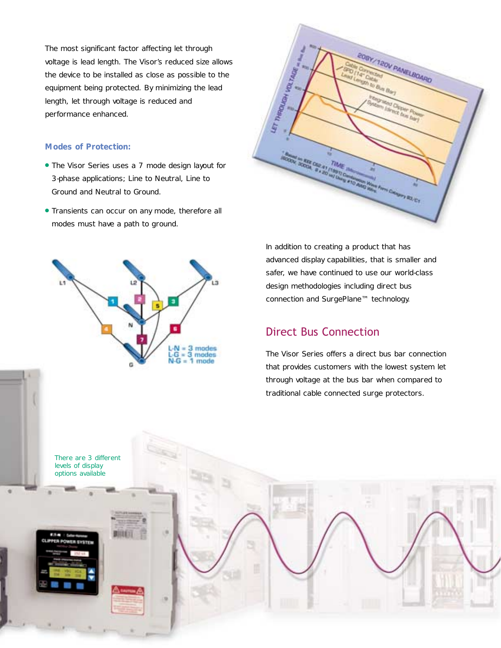The most significant factor affecting let through voltage is lead length. The Visor's reduced size allows the device to be installed as close as possible to the equipment being protected. By minimizing the lead length, let through voltage is reduced and performance enhanced.

#### **Modes of Protection:**

*There are 3 different levels of display options available*

- The Visor Series uses a 7 mode design layout for 3-phase applications; Line to Neutral, Line to Ground and Neutral to Ground.
- Transients can occur on any mode, therefore all modes must have a path to ground.





In addition to creating a product that has advanced display capabilities, that is smaller and safer, we have continued to use our world-class design methodologies including direct bus connection and SurgePlane™ technology.

# Direct Bus Connection

The Visor Series offers a direct bus bar connection that provides customers with the lowest system let through voltage at the bus bar when compared to traditional cable connected surge protectors.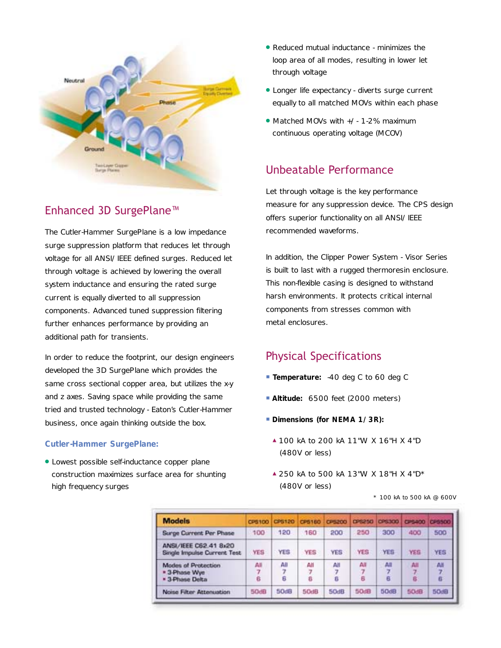

# Enhanced 3D SurgePlane™

The Cutler-Hammer SurgePlane is a low impedance surge suppression platform that reduces let through voltage for all ANSI/IEEE defined surges. Reduced let through voltage is achieved by lowering the overall system inductance and ensuring the rated surge current is equally diverted to all suppression components. Advanced tuned suppression filtering further enhances performance by providing an additional path for transients.

In order to reduce the footprint, our design engineers developed the 3D SurgePlane which provides the same cross sectional copper area, but utilizes the x-y and z axes. Saving space while providing the same tried and trusted technology - Eaton's Cutler-Hammer business, once again thinking outside the box.

#### **Cutler-Hammer SurgePlane:**

- Lowest possible self-inductance copper plane construction maximizes surface area for shunting high frequency surges

- Reduced mutual inductance minimizes the loop area of all modes, resulting in lower let through voltage
- **Longer life expectancy diverts surge current** equally to all matched MOVs within each phase
- Matched MOVs with +/- 1-2% maximum continuous operating voltage (MCOV)

# Unbeatable Performance

Let through voltage is the key performance measure for any suppression device. The CPS design offers superior functionality on all ANSI/IEEE recommended waveforms.

In addition, the Clipper Power System - Visor Series is built to last with a rugged thermoresin enclosure. This non-flexible casing is designed to withstand harsh environments. It protects critical internal components from stresses common with metal enclosures.

# Physical Specifications

- **Temperature:** -40 deg C to 60 deg C
- **Altitude:** 6500 feet (2000 meters)
- **Dimensions (for NEMA 1/3R):**
	- ▲ 100 kA to 200 kA 11"W X 16"H X 4"D (480V or less)
	- ▲ 250 kA to 500 kA 13"W X 18"H X 4"D\* (480V or less)

\* 100 kA to 500 kA @ 600V

| <b>Models</b>                                           | 026100            | CP5120     | CPS160     | CP5200     | CP5250  | <b>CP5300</b> | 095400     | 099500 |
|---------------------------------------------------------|-------------------|------------|------------|------------|---------|---------------|------------|--------|
| Surge Current Per Phase                                 | 100               | 120        | 160        | 200        | 250     | 300           | 400        | 500    |
| ANSI/IEEE C62.41 Bx20<br>Single Impulse Current Test    | <b>YES</b>        | <b>YES</b> | <b>YES</b> | <b>YES</b> | YES     | YES           | <b>YES</b> | YES    |
| Modes of Protection<br>. 3-Phase Wye<br>* 3-Phase Delta | AB<br>菇           | AΙ<br>6    | ΑH<br>₿    | All        | ΔШ<br>6 | ΛЛ<br>6       | All<br>启   | 삭<br>6 |
| <b>Noise Filter Attenuation</b>                         | 50 <sub>c</sub> m | 50dB       | 50dB       | 50dB       | 50dB    | 50dB          | 50dB       | 50sB   |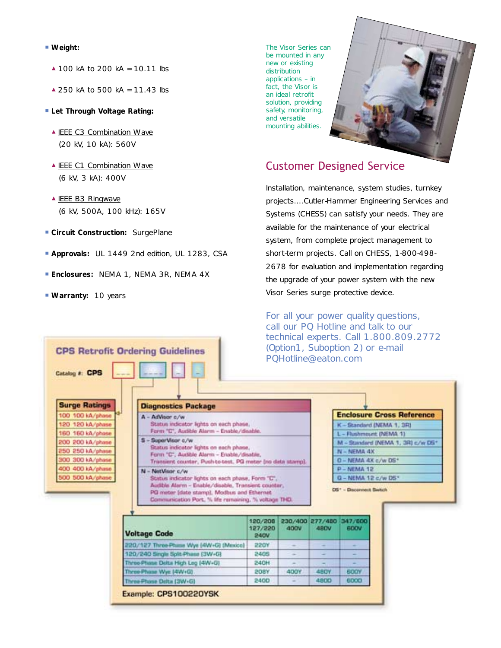#### **Weight:**

- ▲ 100 kA to 200 kA = 10.11 lbs
- ▲ 250 kA to 500 kA =  $11.43$  lbs
- **Let Through Voltage Rating:**
	- LEEE C3 Combination Wave (20 kV, 10 kA): 560V
	- ▲ IEEE C1 Combination Wave (6 kV, 3 kA): 400V
	- ▲ IEEE B3 Ringwave (6 kV, 500A, 100 kHz): 165V
- **Circuit Construction:** SurgePlane
- **Approvals:** UL 1449 2nd edition, UL 1283, CSA
- **Enclosures:** NEMA 1, NEMA 3R, NEMA 4X
- **Warranty:** 10 years

*The Visor Series can be mounted in any new or existing distribution applications – in fact, the Visor is an ideal retrofit solution, providing safety, monitoring, and versatile mounting abilities.*



## Customer Designed Service

Installation, maintenance, system studies, turnkey projects….Cutler-Hammer Engineering Services and Systems (CHESS) can satisfy your needs. They are available for the maintenance of your electrical system, from complete project management to short-term projects. Call on CHESS, 1-800-498- 2678 for evaluation and implementation regarding the upgrade of your power system with the new Visor Series surge protective device.

For all your power quality questions, call our PQ Hotline and talk to our technical experts. Call 1.800.809.2772 (Option1, Suboption 2) or e-mail